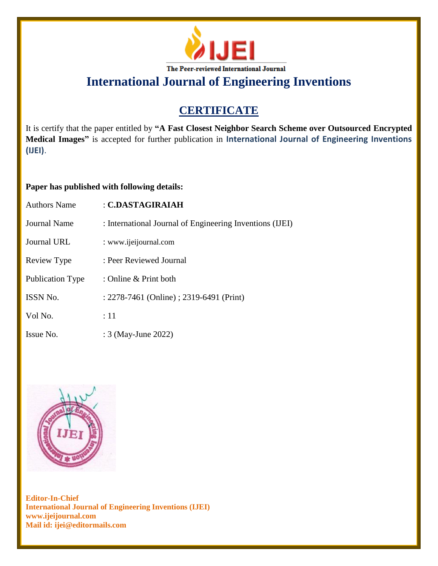

### **CERTIFICATE**

It is certify that the paper entitled by **"A Fast Closest Neighbor Search Scheme over Outsourced Encrypted Medical Images"** is accepted for further publication in **International Journal of Engineering Inventions (IJEI)**.

#### **Paper has published with following details:**

| <b>Authors Name</b>     | : C.DASTAGIRAIAH                                         |
|-------------------------|----------------------------------------------------------|
| <b>Journal Name</b>     | : International Journal of Engineering Inventions (IJEI) |
| Journal URL             | : www.ijeijournal.com                                    |
| Review Type             | : Peer Reviewed Journal                                  |
| <b>Publication Type</b> | : Online $&$ Print both                                  |
| <b>ISSN No.</b>         | : 2278-7461 (Online) ; 2319-6491 (Print)                 |
| Vol No.                 | :11                                                      |
| Issue No.               | : 3 (May-June 2022)                                      |

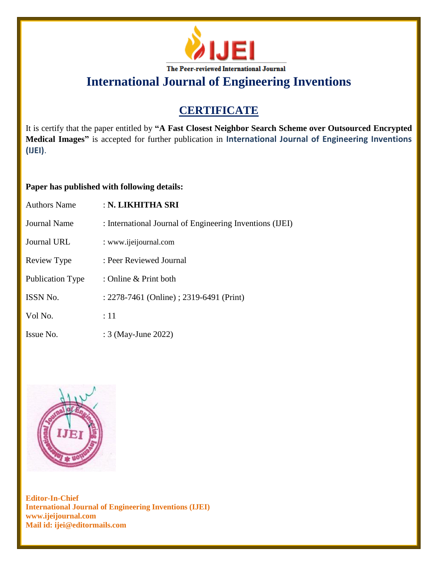

### **CERTIFICATE**

It is certify that the paper entitled by **"A Fast Closest Neighbor Search Scheme over Outsourced Encrypted Medical Images"** is accepted for further publication in **International Journal of Engineering Inventions (IJEI)**.

#### **Paper has published with following details:**

| <b>Authors Name</b>     | : N. LIKHITHA SRI                                        |
|-------------------------|----------------------------------------------------------|
| Journal Name            | : International Journal of Engineering Inventions (IJEI) |
| Journal URL             | : www.ijeijournal.com                                    |
| Review Type             | : Peer Reviewed Journal                                  |
| <b>Publication Type</b> | : Online & Print both                                    |
| <b>ISSN No.</b>         | : 2278-7461 (Online) ; 2319-6491 (Print)                 |
| Vol No.                 | $\div 11$                                                |
| Issue No.               | : 3 (May-June 2022)                                      |

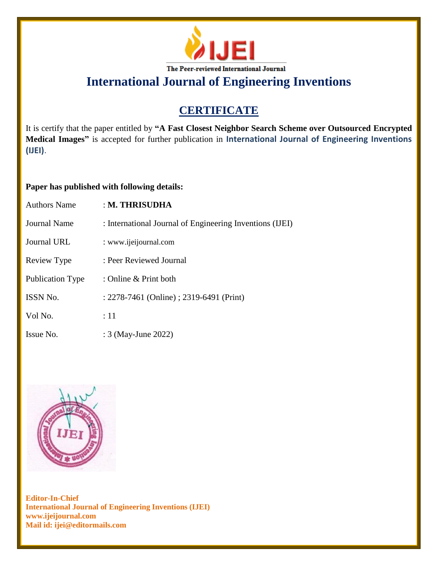

### **CERTIFICATE**

It is certify that the paper entitled by **"A Fast Closest Neighbor Search Scheme over Outsourced Encrypted Medical Images"** is accepted for further publication in **International Journal of Engineering Inventions (IJEI)**.

#### **Paper has published with following details:**

| <b>Authors Name</b>     | : M. THRISUDHA                                           |
|-------------------------|----------------------------------------------------------|
| Journal Name            | : International Journal of Engineering Inventions (IJEI) |
| Journal URL             | : www.ijeijournal.com                                    |
| Review Type             | : Peer Reviewed Journal                                  |
| <b>Publication Type</b> | : Online & Print both                                    |
| ISSN No.                | : 2278-7461 (Online) ; 2319-6491 (Print)                 |
| Vol No.                 | :11                                                      |
| Issue No.               | : 3 (May-June 2022)                                      |

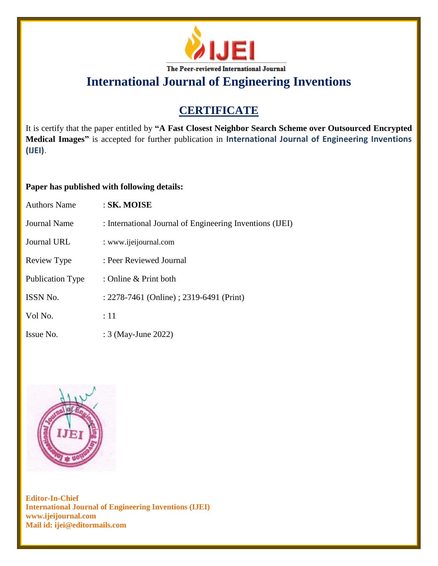

### **CERTIFICATE**

It is certify that the paper entitled by **"A Fast Closest Neighbor Search Scheme over Outsourced Encrypted Medical Images"** is accepted for further publication in **International Journal of Engineering Inventions (IJEI)**.

#### **Paper has published with following details:**

| <b>Authors Name</b>     | :SK. MOISE                                               |
|-------------------------|----------------------------------------------------------|
| Journal Name            | : International Journal of Engineering Inventions (IJEI) |
| Journal URL             | : www.ijeijournal.com                                    |
| Review Type             | : Peer Reviewed Journal                                  |
| <b>Publication Type</b> | : Online & Print both                                    |
| <b>ISSN No.</b>         | : 2278-7461 (Online) ; 2319-6491 (Print)                 |
| Vol No.                 | $\div 11$                                                |
| Issue No.               | : 3 (May-June 2022)                                      |